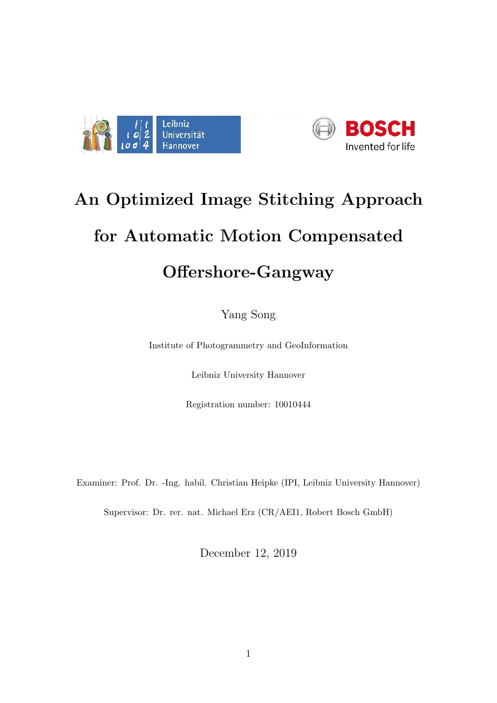



## An Optimized Image Stitching Approach for Automatic Motion Compensated Offershore-Gangway

Yang Song

Institute of Photogrammetry and GeoInformation

Leibniz University Hannover

Registration number: 10010444

Examiner: Prof. Dr. -Ing. habil. Christian Heipke (IPI, Leibniz University Hannover)

Supervisor: Dr. rer. nat. Michael Erz (CR/AEI1, Robert Bosch GmbH)

December 12, 2019